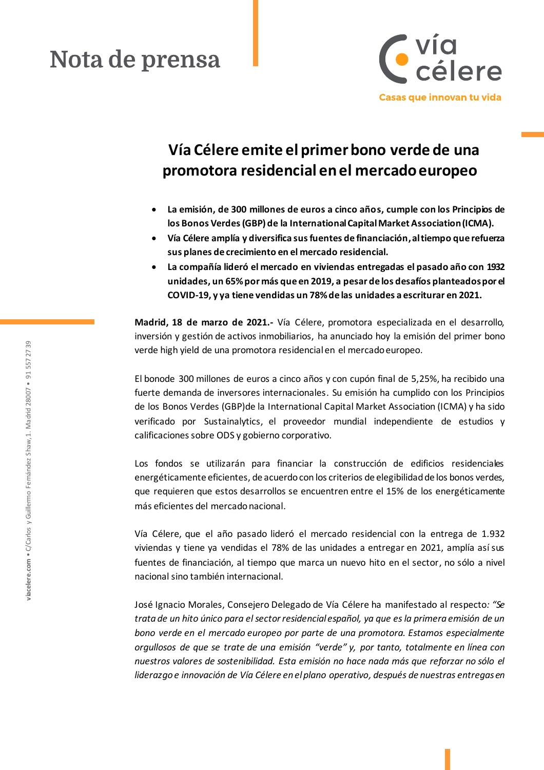# Nota de prensa



## **Vía Célere emite el primerbono verde de una promotora residencial en el mercado europeo**

- **La emisión, de 300 millones de euros a cinco años, cumple con los Principios de los Bonos Verdes (GBP) de la International Capital Market Association (ICMA).**
- **Vía Célere amplía y diversifica sus fuentes de financiación,al tiempo que refuerza sus planes de crecimiento en el mercado residencial.**
- **La compañía lideró el mercado en viviendas entregadas el pasado año con 1932 unidades, un 65% por más que en 2019, a pesar de los desafíos planteados por el COVID-19, y ya tiene vendidas un 78%de las unidades a escriturar en 2021.**

**Madrid, 18 de marzo de 2021.-** Vía Célere, promotora especializada en el desarrollo, inversión y gestión de activos inmobiliarios, ha anunciado hoy la emisión del primer bono verde high yield de una promotora residencial en el mercado europeo.

El bonode 300 millones de euros a cinco años y con cupón final de 5,25%, ha recibido una fuerte demanda de inversores internacionales. Su emisión ha cumplido con los Principios de los Bonos Verdes (GBP)de la International Capital Market Association (ICMA) y ha sido verificado por Sustainalytics, el proveedor mundial independiente de estudios y calificaciones sobre ODS y gobierno corporativo.

Los fondos se utilizarán para financiar la construcción de edificios residenciales energéticamente eficientes, de acuerdo con los criterios de elegibilidad de los bonos verdes, que requieren que estos desarrollos se encuentren entre el 15% de los energéticamente más eficientes del mercado nacional.

Vía Célere, que el año pasado lideró el mercado residencial con la entrega de 1.932 viviendas y tiene ya vendidas el 78% de las unidades a entregar en 2021, amplía así sus fuentes de financiación, al tiempo que marca un nuevo hito en el sector, no sólo a nivel nacional sino también internacional.

José Ignacio Morales, Consejero Delegado de Vía Célere ha manifestado al respecto*: "Se trata de un hito único para el sector residencial español, ya que es la primera emisión de un bono verde en el mercado europeo por parte de una promotora. Estamos especialmente orgullosos de que se trate de una emisión "verde" y, por tanto, totalmente en línea con nuestros valores de sostenibilidad. Esta emisión no hace nada más que reforzar no sólo el liderazgo e innovación de Vía Célere en el plano operativo, después de nuestras entregas en*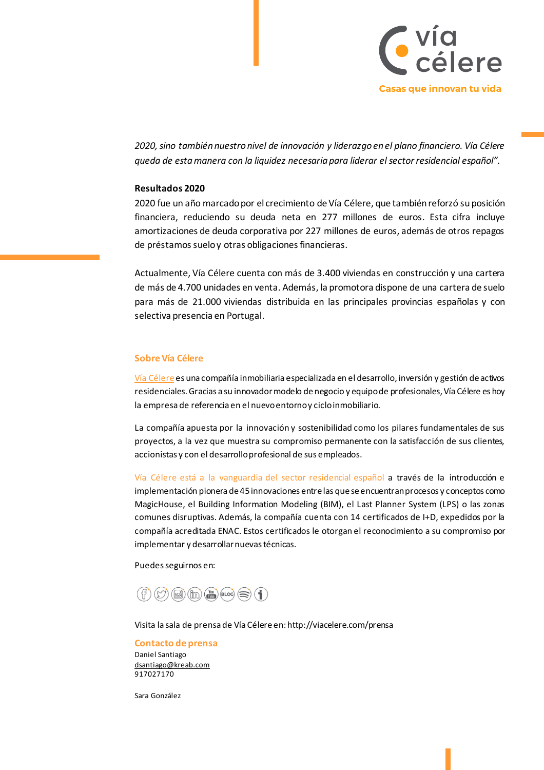

*2020, sino también nuestro nivel de innovación y liderazgo en el plano financiero. Vía Célere queda de esta manera con la liquidez necesaria para liderar el sector residencial español".*

#### **Resultados 2020**

2020 fue un año marcado por el crecimiento de Vía Célere, que también reforzó su posición financiera, reduciendo su deuda neta en 277 millones de euros. Esta cifra incluye amortizaciones de deuda corporativa por 227 millones de euros, además de otros repagos de préstamos suelo y otras obligaciones financieras.

Actualmente, Vía Célere cuenta con más de 3.400 viviendas en construcción y una cartera de más de 4.700 unidades en venta. Además, la promotora dispone de una cartera de suelo para más de 21.000 viviendas distribuida en las principales provincias españolas y con selectiva presencia en Portugal.

### **Sobre Vía Célere**

[Vía Célere](http://www.viacelere.es/) es una compañía inmobiliaria especializada en el desarrollo, inversión y gestión de activos residenciales. Gracias a su innovador modelo de negocio y equipo de profesionales, Vía Célere es hoy la empresa de referencia en el nuevo entorno y ciclo inmobiliario.

La compañía apuesta por la innovación y sostenibilidad como los pilares fundamentales de sus proyectos, a la vez que muestra su compromiso permanente con la satisfacción de sus clientes, accionistas y con el desarrollo profesional de sus empleados.

Vía Célere está a la vanguardia del sector residencial español a través de la introducción e implementación pionera de 45 innovaciones entre las que se encuentran procesos y conceptos como MagicHouse, el Building Information Modeling (BIM), el Last Planner System (LPS) o las zonas comunes disruptivas. Además, la compañía cuenta con 14 certificados de I+D, expedidos por la compañía acreditada ENAC. Estos certificados le otorgan el reconocimiento a su compromiso por implementar y desarrollar nuevas técnicas.

Puedes seguirnos en:



Visita la sala de prensa de Vía Célere en: http://viacelere.com/prensa

#### **Contacto de prensa**

Daniel Santiago [dsantiago@kreab.com](mailto:dsantiago@kreab.com) 917027170

Sara González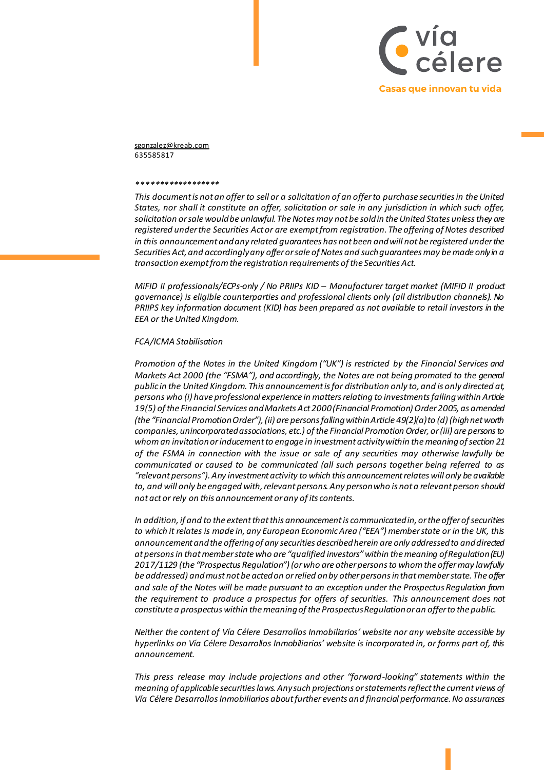

sgonzalez@kreab.com 635585817

#### *\*\*\*\*\*\*\*\*\*\*\*\*\*\*\*\*\*\**

*This document is not an offer to sell or a solicitation of an offer to purchase securities in the United States, nor shall it constitute an offer, solicitation or sale in any jurisdiction in which such offer, solicitation or sale would be unlawful. The Notes may not be sold in the United States unless they are registered under the Securities Act or are exempt from registration. The offering of Notes described in this announcement and any related guarantees has not been and will not be registered under the Securities Act, and accordingly any offer or sale of Notes and such guarantees may be made only in a transaction exempt from the registration requirements of the Securities Act.* 

*MiFID II professionals/ECPs-only / No PRIIPs KID - Manufacturer target market (MIFID II product governance) is eligible counterparties and professional clients only (all distribution channels). No PRIIPS key information document (KID) has been prepared as not available to retail investors in the EEA or the United Kingdom.* 

#### *FCA/ICMA Stabilisation*

*Promotion of the Notes in the United Kingdom ("UK") is restricted by the Financial Services and Markets Act 2000 (the "FSMA"), and accordingly, the Notes are not being promoted to the general public in the United Kingdom. This announcement is for distribution only to, and is only directed at, persons who (i) have professional experience in matters relating to investments falling within Article 19(5) of the Financial Services and Markets Act 2000 (Financial Promotion) Order 2005, as amended (the "Financial Promotion Order"), (ii) are persons falling within Article 49(2)(a) to (d) (high net worth companies, unincorporated associations, etc.) of the Financial Promotion Order, or (iii) are persons to whom an invitation or inducement to engage in investment activity within the meaning of section 21 of the FSMA in connection with the issue or sale of any securities may otherwise lawfully be communicated or caused to be communicated (all such persons together being referred to as "relevant persons"). Any investment activity to which this announcement relates will only be available to, and will only be engaged with, relevant persons. Any person who is not a relevant person should not act or rely on this announcement or any of its contents.* 

*In addition, if and to the extent that this announcement is communicated in, or the offer of securities to which it relates is made in, any European Economic Area ("EEA") member state or in the UK, this announcement and the offering of any securities described herein are only addressed to and directed at persons in that member state who are "qualified investors" within the meaning of Regulation (EU) 2017/1129 (the "Prospectus Regulation") (or who are other persons to whom the offer may lawfully be addressed) and must not be acted on or relied on by other persons in that member state. The offer and sale of the Notes will be made pursuant to an exception under the Prospectus Regulation from the requirement to produce a prospectus for offers of securities. This announcement does not constitute a prospectus within the meaning of the Prospectus Regulation or an offer to the public.* 

*Neither the content of Vía Célere Desarrollos Inmobiliarios' website nor any website accessible by hyperlinks on Vía Célere Desarrollos Inmobiliarios' website is incorporated in, or forms part of, this announcement.* 

*This press release may include projections and other "forward-looking" statements within the meaning of applicable securities laws. Any such projections or statements reflect the current views of Vía Célere Desarrollos Inmobiliarios about further events and financial performance. No assurances*